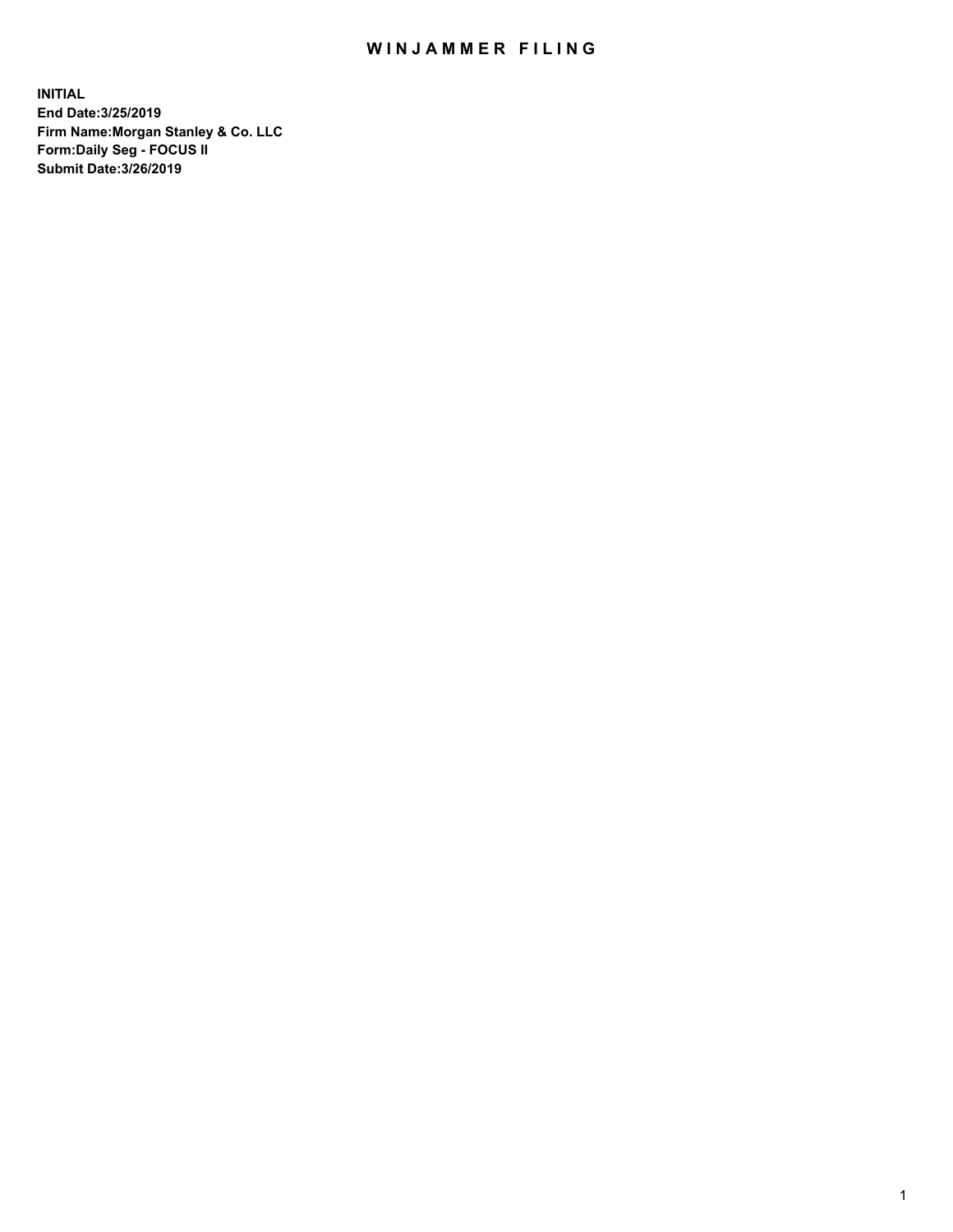## WIN JAMMER FILING

**INITIAL End Date:3/25/2019 Firm Name:Morgan Stanley & Co. LLC Form:Daily Seg - FOCUS II Submit Date:3/26/2019**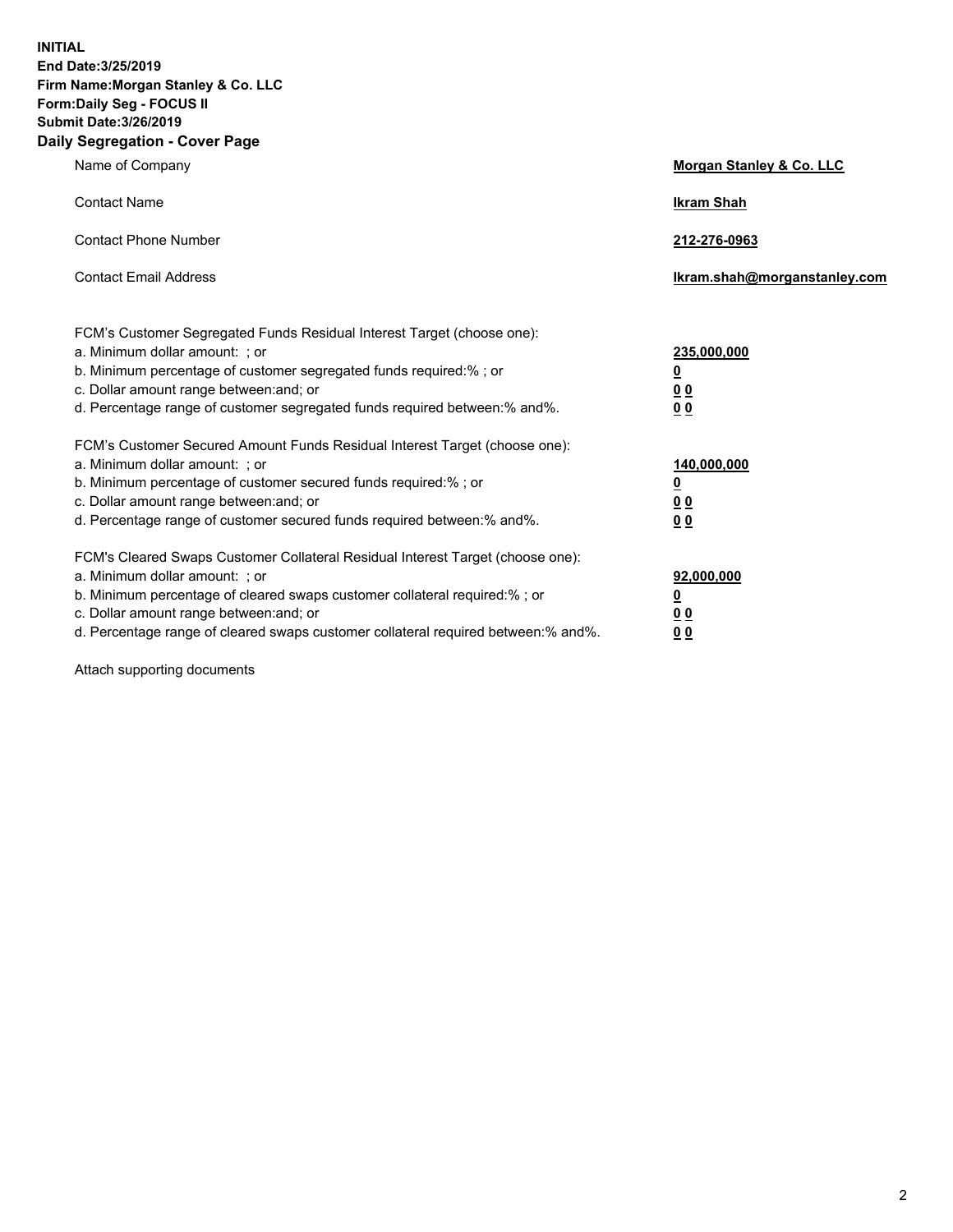**INITIAL End Date:3/25/2019 Firm Name:Morgan Stanley & Co. LLC Form:Daily Seg - FOCUS II Submit Date:3/26/2019 Daily Segregation - Cover Page**

| Name of Company                                                                                                                                                                                                                                                                                                                | Morgan Stanley & Co. LLC                                    |
|--------------------------------------------------------------------------------------------------------------------------------------------------------------------------------------------------------------------------------------------------------------------------------------------------------------------------------|-------------------------------------------------------------|
| <b>Contact Name</b>                                                                                                                                                                                                                                                                                                            | <b>Ikram Shah</b>                                           |
| <b>Contact Phone Number</b>                                                                                                                                                                                                                                                                                                    | 212-276-0963                                                |
| <b>Contact Email Address</b>                                                                                                                                                                                                                                                                                                   | Ikram.shah@morganstanley.com                                |
| FCM's Customer Segregated Funds Residual Interest Target (choose one):<br>a. Minimum dollar amount: ; or<br>b. Minimum percentage of customer segregated funds required:% ; or<br>c. Dollar amount range between: and; or<br>d. Percentage range of customer segregated funds required between:% and%.                         | 235,000,000<br><u>0</u><br>0 <sub>0</sub><br>0 <sub>0</sub> |
| FCM's Customer Secured Amount Funds Residual Interest Target (choose one):<br>a. Minimum dollar amount: ; or<br>b. Minimum percentage of customer secured funds required:%; or<br>c. Dollar amount range between: and; or<br>d. Percentage range of customer secured funds required between:% and%.                            | 140,000,000<br><u>0</u><br>0 <sub>0</sub><br>0 <sub>0</sub> |
| FCM's Cleared Swaps Customer Collateral Residual Interest Target (choose one):<br>a. Minimum dollar amount: ; or<br>b. Minimum percentage of cleared swaps customer collateral required:% ; or<br>c. Dollar amount range between: and; or<br>d. Percentage range of cleared swaps customer collateral required between:% and%. | 92,000,000<br><u>0</u><br><u>00</u><br>0 <sub>0</sub>       |

Attach supporting documents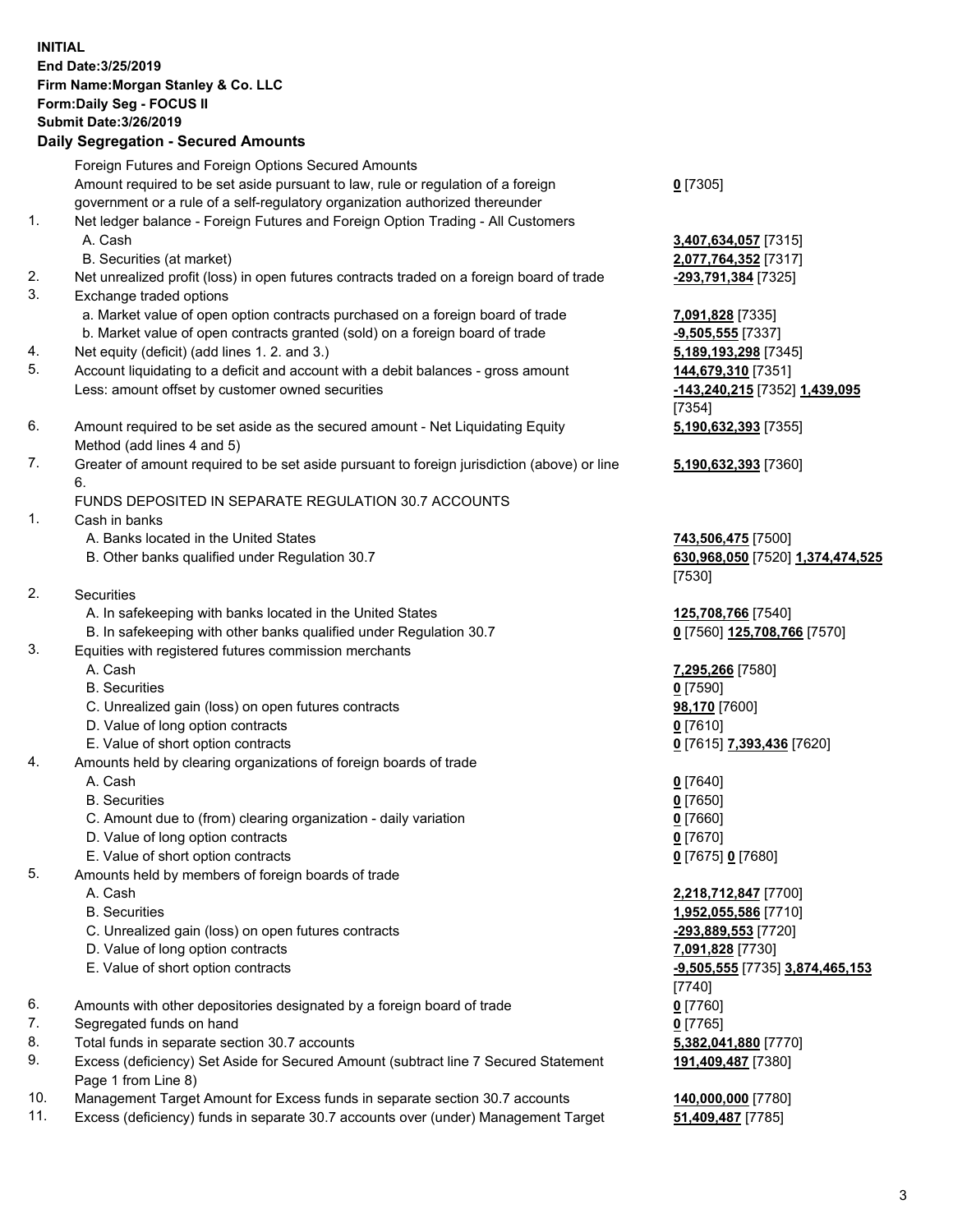## **INITIAL End Date:3/25/2019 Firm Name:Morgan Stanley & Co. LLC Form:Daily Seg - FOCUS II Submit Date:3/26/2019 Daily Segregation - Secured Amounts**

Foreign Futures and Foreign Options Secured Amounts Amount required to be set aside pursuant to law, rule or regulation of a foreign government or a rule of a self-regulatory organization authorized thereunder 1. Net ledger balance - Foreign Futures and Foreign Option Trading - All Customers A. Cash **3,407,634,057** [7315]

- B. Securities (at market) **2,077,764,352** [7317]
- 2. Net unrealized profit (loss) in open futures contracts traded on a foreign board of trade **-293,791,384** [7325]
- 3. Exchange traded options
	- a. Market value of open option contracts purchased on a foreign board of trade **7,091,828** [7335]
	- b. Market value of open contracts granted (sold) on a foreign board of trade **-9,505,555** [7337]
- 4. Net equity (deficit) (add lines 1. 2. and 3.) **5,189,193,298** [7345]
- 5. Account liquidating to a deficit and account with a debit balances gross amount **144,679,310** [7351] Less: amount offset by customer owned securities **-143,240,215** [7352] **1,439,095**
- 6. Amount required to be set aside as the secured amount Net Liquidating Equity Method (add lines 4 and 5)
- 7. Greater of amount required to be set aside pursuant to foreign jurisdiction (above) or line 6.

## FUNDS DEPOSITED IN SEPARATE REGULATION 30.7 ACCOUNTS

- 1. Cash in banks
	- A. Banks located in the United States **743,506,475** [7500]
	- B. Other banks qualified under Regulation 30.7 **630,968,050** [7520] **1,374,474,525**
- 2. Securities
	- A. In safekeeping with banks located in the United States **125,708,766** [7540]
	- B. In safekeeping with other banks qualified under Regulation 30.7 **0** [7560] **125,708,766** [7570]
- 3. Equities with registered futures commission merchants
	-
	- B. Securities **0** [7590]
	- C. Unrealized gain (loss) on open futures contracts **98,170** [7600]
	- D. Value of long option contracts **0** [7610]
- E. Value of short option contracts **0** [7615] **7,393,436** [7620]
- 4. Amounts held by clearing organizations of foreign boards of trade
	- A. Cash **0** [7640]
	- B. Securities **0** [7650]
	- C. Amount due to (from) clearing organization daily variation **0** [7660]
	- D. Value of long option contracts **0** [7670]
	- E. Value of short option contracts **0** [7675] **0** [7680]
- 5. Amounts held by members of foreign boards of trade
	-
	-
	- C. Unrealized gain (loss) on open futures contracts **-293,889,553** [7720]
	- D. Value of long option contracts **7,091,828** [7730]
	- E. Value of short option contracts **-9,505,555** [7735] **3,874,465,153**
- 6. Amounts with other depositories designated by a foreign board of trade **0** [7760]
- 7. Segregated funds on hand **0** [7765]
- 8. Total funds in separate section 30.7 accounts **5,382,041,880** [7770]
- 9. Excess (deficiency) Set Aside for Secured Amount (subtract line 7 Secured Statement Page 1 from Line 8)
- 10. Management Target Amount for Excess funds in separate section 30.7 accounts **140,000,000** [7780]
- 11. Excess (deficiency) funds in separate 30.7 accounts over (under) Management Target **51,409,487** [7785]

**0** [7305]

[7354] **5,190,632,393** [7355]

**5,190,632,393** [7360]

[7530]

A. Cash **7,295,266** [7580]

 A. Cash **2,218,712,847** [7700] B. Securities **1,952,055,586** [7710] [7740] **191,409,487** [7380]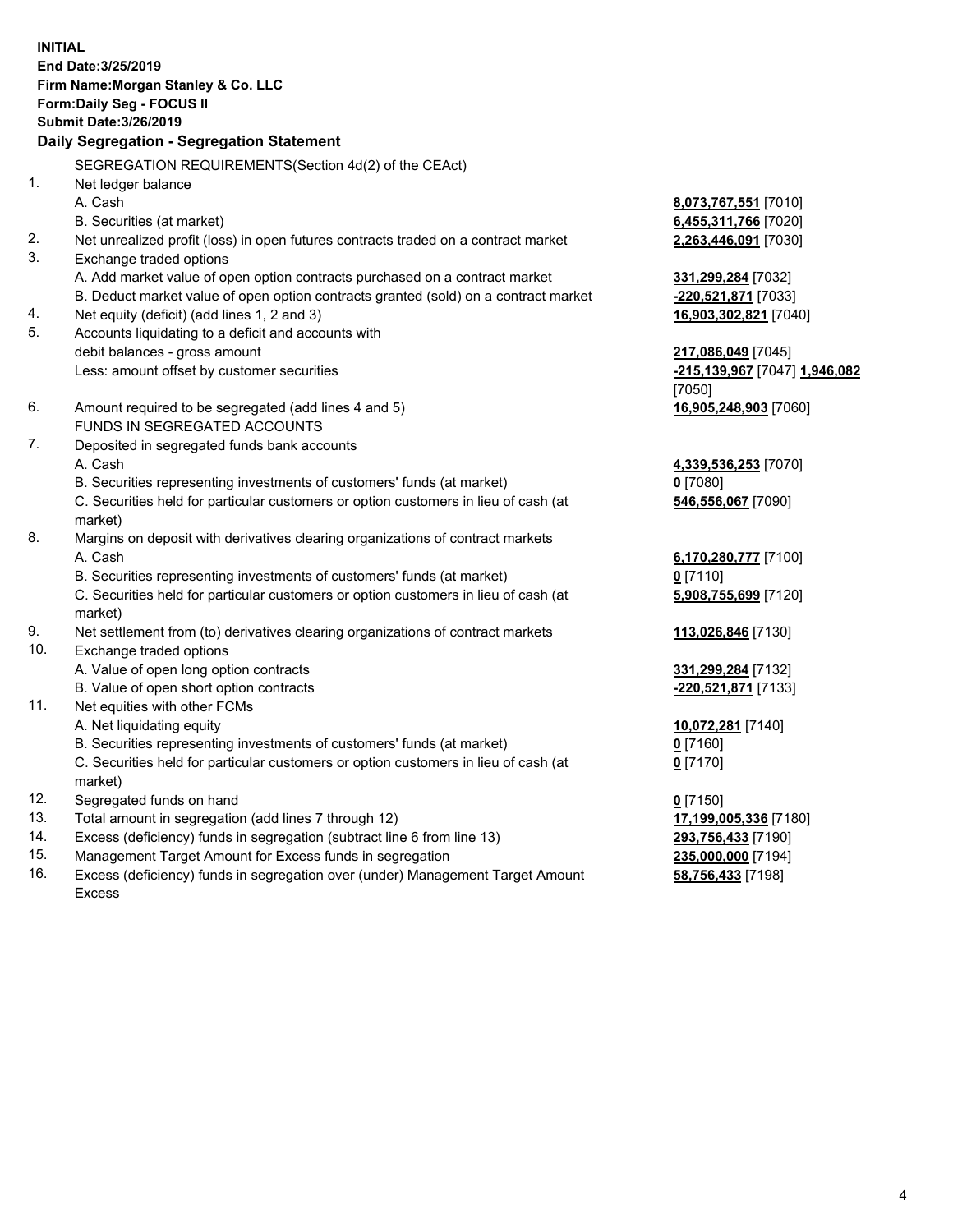**INITIAL End Date:3/25/2019 Firm Name:Morgan Stanley & Co. LLC Form:Daily Seg - FOCUS II Submit Date:3/26/2019 Daily Segregation - Segregation Statement** SEGREGATION REQUIREMENTS(Section 4d(2) of the CEAct) 1. Net ledger balance A. Cash **8,073,767,551** [7010] B. Securities (at market) **6,455,311,766** [7020] 2. Net unrealized profit (loss) in open futures contracts traded on a contract market **2,263,446,091** [7030] 3. Exchange traded options A. Add market value of open option contracts purchased on a contract market **331,299,284** [7032] B. Deduct market value of open option contracts granted (sold) on a contract market **-220,521,871** [7033] 4. Net equity (deficit) (add lines 1, 2 and 3) **16,903,302,821** [7040] 5. Accounts liquidating to a deficit and accounts with debit balances - gross amount **217,086,049** [7045] Less: amount offset by customer securities **-215,139,967** [7047] **1,946,082** [7050] 6. Amount required to be segregated (add lines 4 and 5) **16,905,248,903** [7060] FUNDS IN SEGREGATED ACCOUNTS 7. Deposited in segregated funds bank accounts A. Cash **4,339,536,253** [7070] B. Securities representing investments of customers' funds (at market) **0** [7080] C. Securities held for particular customers or option customers in lieu of cash (at market) **546,556,067** [7090] 8. Margins on deposit with derivatives clearing organizations of contract markets A. Cash **6,170,280,777** [7100] B. Securities representing investments of customers' funds (at market) **0** [7110] C. Securities held for particular customers or option customers in lieu of cash (at market) **5,908,755,699** [7120] 9. Net settlement from (to) derivatives clearing organizations of contract markets **113,026,846** [7130] 10. Exchange traded options A. Value of open long option contracts **331,299,284** [7132] B. Value of open short option contracts **-220,521,871** [7133] 11. Net equities with other FCMs A. Net liquidating equity **10,072,281** [7140] B. Securities representing investments of customers' funds (at market) **0** [7160] C. Securities held for particular customers or option customers in lieu of cash (at market) **0** [7170] 12. Segregated funds on hand **0** [7150] 13. Total amount in segregation (add lines 7 through 12) **17,199,005,336** [7180] 14. Excess (deficiency) funds in segregation (subtract line 6 from line 13) **293,756,433** [7190]

- 15. Management Target Amount for Excess funds in segregation **235,000,000** [7194]
- 16. Excess (deficiency) funds in segregation over (under) Management Target Amount Excess

**58,756,433** [7198]